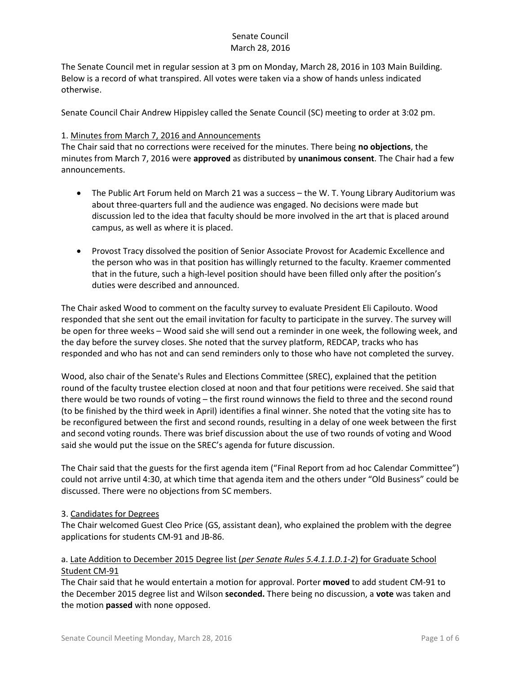The Senate Council met in regular session at 3 pm on Monday, March 28, 2016 in 103 Main Building. Below is a record of what transpired. All votes were taken via a show of hands unless indicated otherwise.

Senate Council Chair Andrew Hippisley called the Senate Council (SC) meeting to order at 3:02 pm.

#### 1. Minutes from March 7, 2016 and Announcements

The Chair said that no corrections were received for the minutes. There being **no objections**, the minutes from March 7, 2016 were **approved** as distributed by **unanimous consent**. The Chair had a few announcements.

- The Public Art Forum held on March 21 was a success the W. T. Young Library Auditorium was about three-quarters full and the audience was engaged. No decisions were made but discussion led to the idea that faculty should be more involved in the art that is placed around campus, as well as where it is placed.
- Provost Tracy dissolved the position of Senior Associate Provost for Academic Excellence and the person who was in that position has willingly returned to the faculty. Kraemer commented that in the future, such a high-level position should have been filled only after the position's duties were described and announced.

The Chair asked Wood to comment on the faculty survey to evaluate President Eli Capilouto. Wood responded that she sent out the email invitation for faculty to participate in the survey. The survey will be open for three weeks – Wood said she will send out a reminder in one week, the following week, and the day before the survey closes. She noted that the survey platform, REDCAP, tracks who has responded and who has not and can send reminders only to those who have not completed the survey.

Wood, also chair of the Senate's Rules and Elections Committee (SREC), explained that the petition round of the faculty trustee election closed at noon and that four petitions were received. She said that there would be two rounds of voting – the first round winnows the field to three and the second round (to be finished by the third week in April) identifies a final winner. She noted that the voting site has to be reconfigured between the first and second rounds, resulting in a delay of one week between the first and second voting rounds. There was brief discussion about the use of two rounds of voting and Wood said she would put the issue on the SREC's agenda for future discussion.

The Chair said that the guests for the first agenda item ("Final Report from ad hoc Calendar Committee") could not arrive until 4:30, at which time that agenda item and the others under "Old Business" could be discussed. There were no objections from SC members.

#### 3. Candidates for Degrees

The Chair welcomed Guest Cleo Price (GS, assistant dean), who explained the problem with the degree applications for students CM-91 and JB-86.

### a. Late Addition to December 2015 Degree list (*per Senate Rules 5.4.1.1.D.1-2*) for Graduate School Student CM-91

The Chair said that he would entertain a motion for approval. Porter **moved** to add student CM-91 to the December 2015 degree list and Wilson **seconded.** There being no discussion, a **vote** was taken and the motion **passed** with none opposed.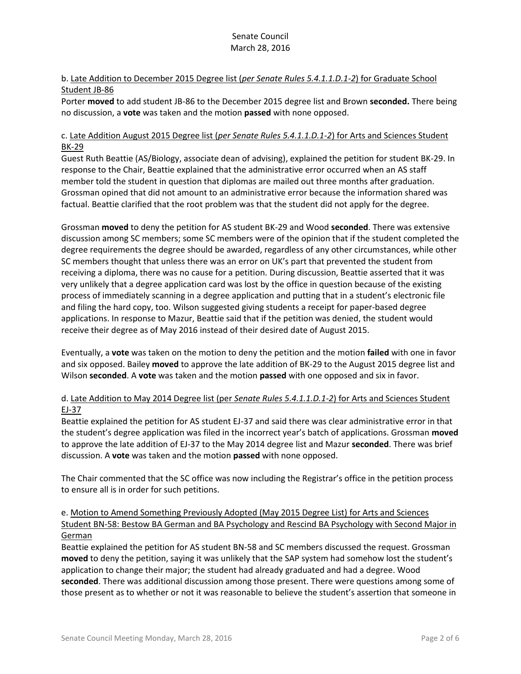# b. Late Addition to December 2015 Degree list (*per Senate Rules 5.4.1.1.D.1-2*) for Graduate School Student JB-86

Porter **moved** to add student JB-86 to the December 2015 degree list and Brown **seconded.** There being no discussion, a **vote** was taken and the motion **passed** with none opposed.

### c. Late Addition August 2015 Degree list (*per Senate Rules 5.4.1.1.D.1-2*) for Arts and Sciences Student BK-29

Guest Ruth Beattie (AS/Biology, associate dean of advising), explained the petition for student BK-29. In response to the Chair, Beattie explained that the administrative error occurred when an AS staff member told the student in question that diplomas are mailed out three months after graduation. Grossman opined that did not amount to an administrative error because the information shared was factual. Beattie clarified that the root problem was that the student did not apply for the degree.

Grossman **moved** to deny the petition for AS student BK-29 and Wood **seconded**. There was extensive discussion among SC members; some SC members were of the opinion that if the student completed the degree requirements the degree should be awarded, regardless of any other circumstances, while other SC members thought that unless there was an error on UK's part that prevented the student from receiving a diploma, there was no cause for a petition. During discussion, Beattie asserted that it was very unlikely that a degree application card was lost by the office in question because of the existing process of immediately scanning in a degree application and putting that in a student's electronic file and filing the hard copy, too. Wilson suggested giving students a receipt for paper-based degree applications. In response to Mazur, Beattie said that if the petition was denied, the student would receive their degree as of May 2016 instead of their desired date of August 2015.

Eventually, a **vote** was taken on the motion to deny the petition and the motion **failed** with one in favor and six opposed. Bailey **moved** to approve the late addition of BK-29 to the August 2015 degree list and Wilson **seconded**. A **vote** was taken and the motion **passed** with one opposed and six in favor.

# d. Late Addition to May 2014 Degree list (per *Senate Rules 5.4.1.1.D.1-2*) for Arts and Sciences Student EJ-37

Beattie explained the petition for AS student EJ-37 and said there was clear administrative error in that the student's degree application was filed in the incorrect year's batch of applications. Grossman **moved**  to approve the late addition of EJ-37 to the May 2014 degree list and Mazur **seconded**. There was brief discussion. A **vote** was taken and the motion **passed** with none opposed.

The Chair commented that the SC office was now including the Registrar's office in the petition process to ensure all is in order for such petitions.

# e. Motion to Amend Something Previously Adopted (May 2015 Degree List) for Arts and Sciences Student BN-58: Bestow BA German and BA Psychology and Rescind BA Psychology with Second Major in German

Beattie explained the petition for AS student BN-58 and SC members discussed the request. Grossman **moved** to deny the petition, saying it was unlikely that the SAP system had somehow lost the student's application to change their major; the student had already graduated and had a degree. Wood **seconded**. There was additional discussion among those present. There were questions among some of those present as to whether or not it was reasonable to believe the student's assertion that someone in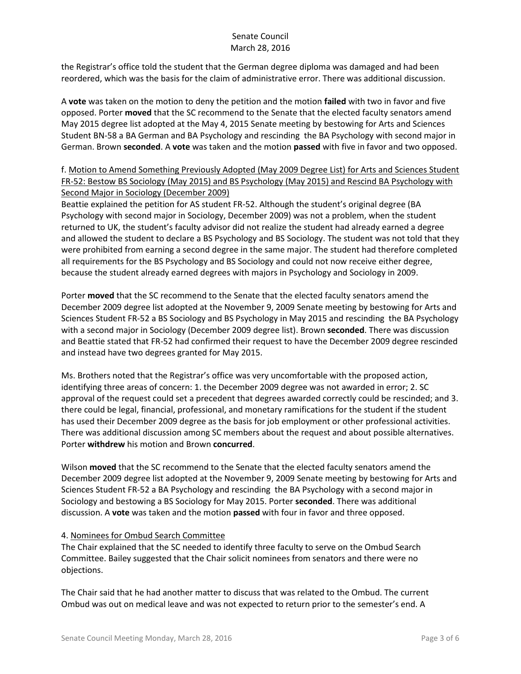the Registrar's office told the student that the German degree diploma was damaged and had been reordered, which was the basis for the claim of administrative error. There was additional discussion.

A **vote** was taken on the motion to deny the petition and the motion **failed** with two in favor and five opposed. Porter **moved** that the SC recommend to the Senate that the elected faculty senators amend May 2015 degree list adopted at the May 4, 2015 Senate meeting by bestowing for Arts and Sciences Student BN-58 a BA German and BA Psychology and rescinding the BA Psychology with second major in German. Brown **seconded**. A **vote** was taken and the motion **passed** with five in favor and two opposed.

# f. Motion to Amend Something Previously Adopted (May 2009 Degree List) for Arts and Sciences Student FR-52: Bestow BS Sociology (May 2015) and BS Psychology (May 2015) and Rescind BA Psychology with Second Major in Sociology (December 2009)

Beattie explained the petition for AS student FR-52. Although the student's original degree (BA Psychology with second major in Sociology, December 2009) was not a problem, when the student returned to UK, the student's faculty advisor did not realize the student had already earned a degree and allowed the student to declare a BS Psychology and BS Sociology. The student was not told that they were prohibited from earning a second degree in the same major. The student had therefore completed all requirements for the BS Psychology and BS Sociology and could not now receive either degree, because the student already earned degrees with majors in Psychology and Sociology in 2009.

Porter **moved** that the SC recommend to the Senate that the elected faculty senators amend the December 2009 degree list adopted at the November 9, 2009 Senate meeting by bestowing for Arts and Sciences Student FR-52 a BS Sociology and BS Psychology in May 2015 and rescinding the BA Psychology with a second major in Sociology (December 2009 degree list). Brown **seconded**. There was discussion and Beattie stated that FR-52 had confirmed their request to have the December 2009 degree rescinded and instead have two degrees granted for May 2015.

Ms. Brothers noted that the Registrar's office was very uncomfortable with the proposed action, identifying three areas of concern: 1. the December 2009 degree was not awarded in error; 2. SC approval of the request could set a precedent that degrees awarded correctly could be rescinded; and 3. there could be legal, financial, professional, and monetary ramifications for the student if the student has used their December 2009 degree as the basis for job employment or other professional activities. There was additional discussion among SC members about the request and about possible alternatives. Porter **withdrew** his motion and Brown **concurred**.

Wilson **moved** that the SC recommend to the Senate that the elected faculty senators amend the December 2009 degree list adopted at the November 9, 2009 Senate meeting by bestowing for Arts and Sciences Student FR-52 a BA Psychology and rescinding the BA Psychology with a second major in Sociology and bestowing a BS Sociology for May 2015. Porter **seconded**. There was additional discussion. A **vote** was taken and the motion **passed** with four in favor and three opposed.

# 4. Nominees for Ombud Search Committee

The Chair explained that the SC needed to identify three faculty to serve on the Ombud Search Committee. Bailey suggested that the Chair solicit nominees from senators and there were no objections.

The Chair said that he had another matter to discuss that was related to the Ombud. The current Ombud was out on medical leave and was not expected to return prior to the semester's end. A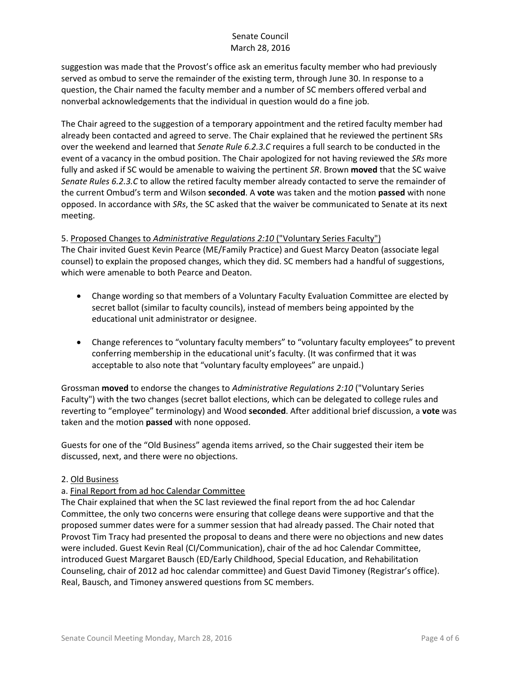suggestion was made that the Provost's office ask an emeritus faculty member who had previously served as ombud to serve the remainder of the existing term, through June 30. In response to a question, the Chair named the faculty member and a number of SC members offered verbal and nonverbal acknowledgements that the individual in question would do a fine job.

The Chair agreed to the suggestion of a temporary appointment and the retired faculty member had already been contacted and agreed to serve. The Chair explained that he reviewed the pertinent SRs over the weekend and learned that *Senate Rule 6.2.3.C* requires a full search to be conducted in the event of a vacancy in the ombud position. The Chair apologized for not having reviewed the *SRs* more fully and asked if SC would be amenable to waiving the pertinent *SR*. Brown **moved** that the SC waive *Senate Rules 6.2.3.C* to allow the retired faculty member already contacted to serve the remainder of the current Ombud's term and Wilson **seconded**. A **vote** was taken and the motion **passed** with none opposed. In accordance with *SRs*, the SC asked that the waiver be communicated to Senate at its next meeting.

### 5. Proposed Changes to *Administrative Regulations 2:10* ("Voluntary Series Faculty")

The Chair invited Guest Kevin Pearce (ME/Family Practice) and Guest Marcy Deaton (associate legal counsel) to explain the proposed changes, which they did. SC members had a handful of suggestions, which were amenable to both Pearce and Deaton.

- Change wording so that members of a Voluntary Faculty Evaluation Committee are elected by secret ballot (similar to faculty councils), instead of members being appointed by the educational unit administrator or designee.
- Change references to "voluntary faculty members" to "voluntary faculty employees" to prevent conferring membership in the educational unit's faculty. (It was confirmed that it was acceptable to also note that "voluntary faculty employees" are unpaid.)

Grossman **moved** to endorse the changes to *Administrative Regulations 2:10* ("Voluntary Series Faculty") with the two changes (secret ballot elections, which can be delegated to college rules and reverting to "employee" terminology) and Wood **seconded**. After additional brief discussion, a **vote** was taken and the motion **passed** with none opposed.

Guests for one of the "Old Business" agenda items arrived, so the Chair suggested their item be discussed, next, and there were no objections.

#### 2. Old Business

#### a. Final Report from ad hoc Calendar Committee

The Chair explained that when the SC last reviewed the final report from the ad hoc Calendar Committee, the only two concerns were ensuring that college deans were supportive and that the proposed summer dates were for a summer session that had already passed. The Chair noted that Provost Tim Tracy had presented the proposal to deans and there were no objections and new dates were included. Guest Kevin Real (CI/Communication), chair of the ad hoc Calendar Committee, introduced Guest Margaret Bausch (ED/Early Childhood, Special Education, and Rehabilitation Counseling, chair of 2012 ad hoc calendar committee) and Guest David Timoney (Registrar's office). Real, Bausch, and Timoney answered questions from SC members.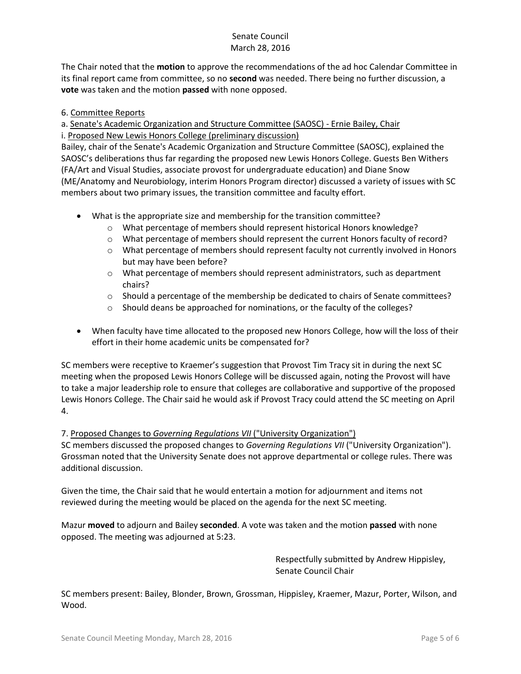The Chair noted that the **motion** to approve the recommendations of the ad hoc Calendar Committee in its final report came from committee, so no **second** was needed. There being no further discussion, a **vote** was taken and the motion **passed** with none opposed.

# 6. Committee Reports

a. Senate's Academic Organization and Structure Committee (SAOSC) - Ernie Bailey, Chair

i. Proposed New Lewis Honors College (preliminary discussion)

Bailey, chair of the Senate's Academic Organization and Structure Committee (SAOSC), explained the SAOSC's deliberations thus far regarding the proposed new Lewis Honors College. Guests Ben Withers (FA/Art and Visual Studies, associate provost for undergraduate education) and Diane Snow (ME/Anatomy and Neurobiology, interim Honors Program director) discussed a variety of issues with SC members about two primary issues, the transition committee and faculty effort.

- What is the appropriate size and membership for the transition committee?
	- o What percentage of members should represent historical Honors knowledge?
	- o What percentage of members should represent the current Honors faculty of record?
	- o What percentage of members should represent faculty not currently involved in Honors but may have been before?
	- $\circ$  What percentage of members should represent administrators, such as department chairs?
	- $\circ$  Should a percentage of the membership be dedicated to chairs of Senate committees?
	- o Should deans be approached for nominations, or the faculty of the colleges?
- When faculty have time allocated to the proposed new Honors College, how will the loss of their effort in their home academic units be compensated for?

SC members were receptive to Kraemer's suggestion that Provost Tim Tracy sit in during the next SC meeting when the proposed Lewis Honors College will be discussed again, noting the Provost will have to take a major leadership role to ensure that colleges are collaborative and supportive of the proposed Lewis Honors College. The Chair said he would ask if Provost Tracy could attend the SC meeting on April 4.

#### 7. Proposed Changes to *Governing Regulations VII* ("University Organization")

SC members discussed the proposed changes to *Governing Regulations VII* ("University Organization"). Grossman noted that the University Senate does not approve departmental or college rules. There was additional discussion.

Given the time, the Chair said that he would entertain a motion for adjournment and items not reviewed during the meeting would be placed on the agenda for the next SC meeting.

Mazur **moved** to adjourn and Bailey **seconded**. A vote was taken and the motion **passed** with none opposed. The meeting was adjourned at 5:23.

> Respectfully submitted by Andrew Hippisley, Senate Council Chair

SC members present: Bailey, Blonder, Brown, Grossman, Hippisley, Kraemer, Mazur, Porter, Wilson, and Wood.